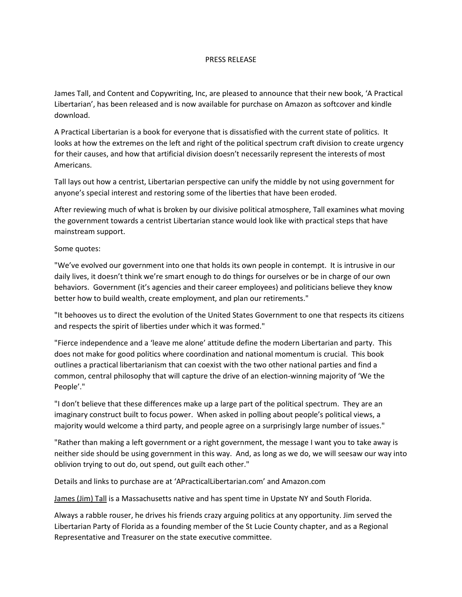## PRESS RELEASE

James Tall, and Content and Copywriting, Inc, are pleased to announce that their new book, 'A Practical Libertarian', has been released and is now available for purchase on Amazon as softcover and kindle download.

A Practical Libertarian is a book for everyone that is dissatisfied with the current state of politics. It looks at how the extremes on the left and right of the political spectrum craft division to create urgency for their causes, and how that artificial division doesn't necessarily represent the interests of most Americans.

Tall lays out how a centrist, Libertarian perspective can unify the middle by not using government for anyone's special interest and restoring some of the liberties that have been eroded.

After reviewing much of what is broken by our divisive political atmosphere, Tall examines what moving the government towards a centrist Libertarian stance would look like with practical steps that have mainstream support.

## Some quotes:

"We've evolved our government into one that holds its own people in contempt. It is intrusive in our daily lives, it doesn't think we're smart enough to do things for ourselves or be in charge of our own behaviors. Government (it's agencies and their career employees) and politicians believe they know better how to build wealth, create employment, and plan our retirements."

"It behooves us to direct the evolution of the United States Government to one that respects its citizens and respects the spirit of liberties under which it was formed."

"Fierce independence and a 'leave me alone' attitude define the modern Libertarian and party. This does not make for good politics where coordination and national momentum is crucial. This book outlines a practical libertarianism that can coexist with the two other national parties and find a common, central philosophy that will capture the drive of an election-winning majority of 'We the People'."

"I don't believe that these differences make up a large part of the political spectrum. They are an imaginary construct built to focus power. When asked in polling about people's political views, a majority would welcome a third party, and people agree on a surprisingly large number of issues."

"Rather than making a left government or a right government, the message I want you to take away is neither side should be using government in this way. And, as long as we do, we will seesaw our way into oblivion trying to out do, out spend, out guilt each other."

Details and links to purchase are at 'APracticalLibertarian.com' and Amazon.com

James (Jim) Tall is a Massachusetts native and has spent time in Upstate NY and South Florida.

Always a rabble rouser, he drives his friends crazy arguing politics at any opportunity. Jim served the Libertarian Party of Florida as a founding member of the St Lucie County chapter, and as a Regional Representative and Treasurer on the state executive committee.